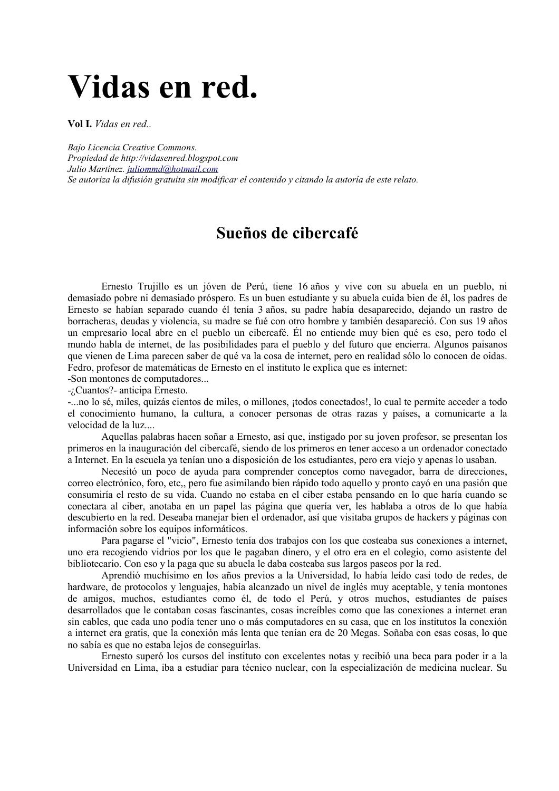## Vidas en red.

Vol I. Vidas en red...

Bajo Licencia Creative Commons. Propiedad de http://vidasenred.blogspot.com Julio Martínez. juliommd@hotmail.com Se autoriza la difusión gratuita sin modificar el contenido y citando la autoría de este relato.

## Sueños de cibercafé

Ernesto Trujillo es un jóven de Perú, tiene 16 años y vive con su abuela en un pueblo, ni demasiado pobre ni demasiado próspero. Es un buen estudiante y su abuela cuida bien de él. los padres de Ernesto se habían separado cuando él tenía 3 años, su padre había desaparecido, dejando un rastro de borracheras, deudas y violencia, su madre se fué con otro hombre y también desapareció. Con sus 19 años un empresario local abre en el pueblo un cibercafé. Él no entiende muy bien qué es eso, pero todo el mundo habla de internet, de las posibilidades para el pueblo y del futuro que encierra. Algunos paisanos que vienen de Lima parecen saber de qué va la cosa de internet, pero en realidad sólo lo conocen de oidas. Fedro, profesor de matemáticas de Ernesto en el instituto le explica que es internet:

-Son montones de computadores...

-¿Cuantos?- anticipa Ernesto.

-...no lo sé, miles, quizás cientos de miles, o millones, ¡todos conectados!, lo cual te permite acceder a todo el conocimiento humano, la cultura, a conocer personas de otras razas y países, a comunicarte a la velocidad de la luz

Aquellas palabras hacen soñar a Ernesto, así que, instigado por su joven profesor, se presentan los primeros en la inauguración del cibercafé, siendo de los primeros en tener acceso a un ordenador conectado a Internet. En la escuela ya tenían uno a disposición de los estudiantes, pero era viejo y apenas lo usaban.

Necesitó un poco de avuda para comprender conceptos como navegador, barra de direcciones, correo electrónico, foro, etc., pero fue asimilando bien rápido todo aquello y pronto cayó en una pasión que consumiría el resto de su vida. Cuando no estaba en el ciber estaba pensando en lo que haría cuando se conectara al ciber, anotaba en un papel las página que quería ver, les hablaba a otros de lo que había descubierto en la red. Deseaba manejar bien el ordenador, así que visitaba grupos de hackers y páginas con información sobre los equipos informáticos.

Para pagarse el "vicio". Ernesto tenía dos trabajos con los que costeaba sus conexiones a internet. uno era recogiendo vidrios por los que le pagaban dinero, y el otro era en el colegio, como asistente del bibliotecario. Con eso y la paga que su abuela le daba costeaba sus largos paseos por la red.

Aprendió muchísimo en los años previos a la Universidad, lo había leído casi todo de redes, de hardware, de protocolos y lenguajes, había alcanzado un nivel de inglés muy aceptable, y tenía montones de amigos, muchos, estudiantes como él, de todo el Perú, y otros muchos, estudiantes de países desarrollados que le contaban cosas fascinantes, cosas increíbles como que las conexiones a internet eran sin cables, que cada uno podía tener uno o más computadores en su casa, que en los institutos la conexión a internet era gratis, que la conexión más lenta que tenían era de 20 Megas. Soñaba con esas cosas, lo que no sabía es que no estaba lejos de conseguirlas.

Ernesto superó los cursos del instituto con excelentes notas y recibió una beca para poder ir a la Universidad en Lima, iba a estudiar para técnico nuclear, con la especialización de medicina nuclear. Su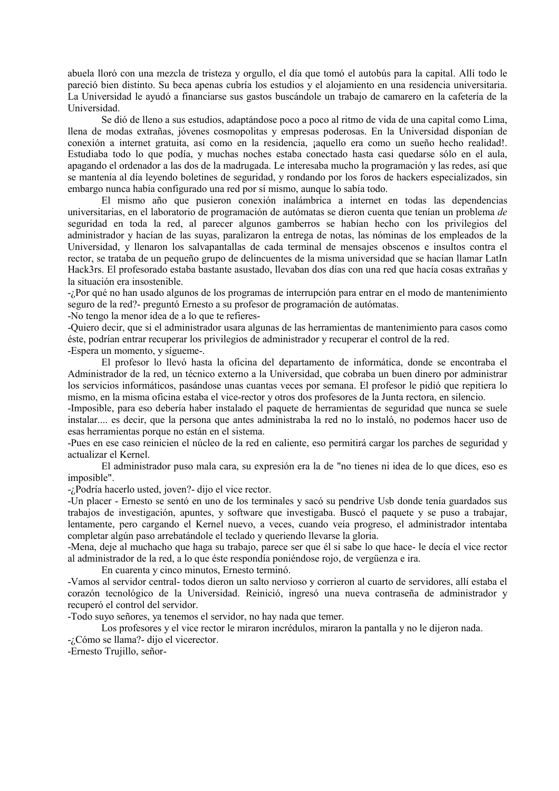abuela lloró con una mezcla de tristeza y orgullo, el día que tomó el autobús para la capital. Allí todo le pareció bien distinto. Su beca apenas cubría los estudios y el alojamiento en una residencia universitaria. La Universidad le ayudó a financiarse sus gastos buscándole un trabajo de camarero en la cafetería de la Universidad.

Se dió de lleno a sus estudios, adaptándose poco a poco al ritmo de vida de una capital como Lima, llena de modas extrañas, jóvenes cosmopolitas y empresas poderosas. En la Universidad disponían de conexión a internet gratuita, así como en la residencia, jaquello era como un sueño hecho realidad!. Estudiaba todo lo que podía, y muchas noches estaba conectado hasta casi quedarse sólo en el aula, apagando el ordenador a las dos de la madrugada. Le interesaba mucho la programación y las redes, así que se mantenía al día leyendo boletines de seguridad, y rondando por los foros de hackers especializados, sin embargo nunca había configurado una red por sí mismo, aunque lo sabía todo.

El mismo año que pusieron conexión inalámbrica a internet en todas las dependencias universitarias, en el laboratorio de programación de autómatas se dieron cuenta que tenían un problema de seguridad en toda la red, al parecer algunos gamberros se habían hecho con los privilegios del administrador y hacían de las suyas, paralizaron la entrega de notas, las nóminas de los empleados de la Universidad, y llenaron los salvapantallas de cada terminal de mensajes obscenos e insultos contra el rector, se trataba de un pequeño grupo de delincuentes de la misma universidad que se hacían llamar LatIn Hack3rs. El profesorado estaba bastante asustado, llevaban dos días con una red que hacía cosas extrañas y la situación era insostenible.

-¿Por qué no han usado algunos de los programas de interrupción para entrar en el modo de mantenimiento seguro de la red?- preguntó Ernesto a su profesor de programación de autómatas.

-No tengo la menor idea de a lo que te refieres-

-Quiero decir, que si el administrador usara algunas de las herramientas de mantenimiento para casos como éste, podrían entrar recuperar los privilegios de administrador y recuperar el control de la red.

-Espera un momento, y sígueme-.

El profesor lo llevó hasta la oficina del departamento de informática, donde se encontraba el Administrador de la red, un técnico externo a la Universidad, que cobraba un buen dinero por administrar los servicios informáticos, pasándose unas cuantas veces por semana. El profesor le pidió que repitiera lo mismo, en la misma oficina estaba el vice-rector y otros dos profesores de la Junta rectora, en silencio.

-Imposible, para eso debería haber instalado el paquete de herramientas de seguridad que nunca se suele instalar.... es decir, que la persona que antes administraba la red no lo instaló, no podemos hacer uso de esas herramientas porque no están en el sistema.

-Pues en ese caso reinicien el núcleo de la red en caliente, eso permitirá cargar los parches de seguridad y actualizar el Kernel.

El administrador puso mala cara, su expresión era la de "no tienes ni idea de lo que dices, eso es imposible".

-¿Podría hacerlo usted, joven?- dijo el vice rector.

-Un placer - Ernesto se sentó en uno de los terminales y sacó su pendrive Usb donde tenía guardados sus trabajos de investigación, apuntes, y software que investigaba. Buscó el paquete y se puso a trabajar, lentamente, pero cargando el Kernel nuevo, a veces, cuando veía progreso, el administrador intentaba completar algún paso arrebatándole el teclado y queriendo llevarse la gloria.

-Mena, deje al muchacho que haga su trabajo, parece ser que él si sabe lo que hace- le decía el vice rector al administrador de la red, a lo que éste respondía poniéndose rojo, de vergüenza e ira.

En cuarenta y cinco minutos, Ernesto terminó.

-Vamos al servidor central- todos dieron un salto nervioso y corrieron al cuarto de servidores, allí estaba el corazón tecnológico de la Universidad. Reinició, ingresó una nueva contraseña de administrador y recuperó el control del servidor.

-Todo suvo señores, va tenemos el servidor, no hay nada que temer.

Los profesores y el vice rector le miraron incrédulos, miraron la pantalla y no le dijeron nada.

-¿Cómo se llama?- dijo el vicerector.

-Ernesto Trujillo, señor-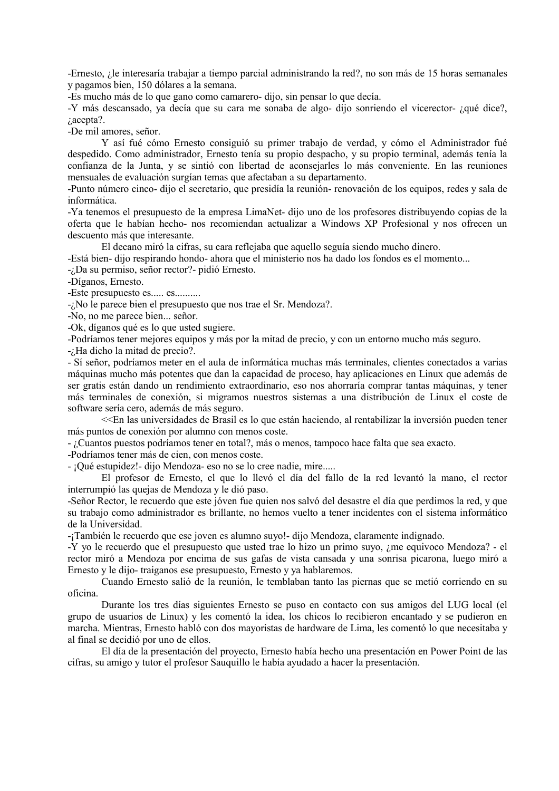-Ernesto, ¿le interesaría trabajar a tiempo parcial administrando la red?, no son más de 15 horas semanales y pagamos bien, 150 dólares a la semana.

-Es mucho más de lo que gano como camarero-dijo, sin pensar lo que decía.

-Y más descansado, ya decía que su cara me sonaba de algo-dijo sonriendo el vicerector- ¿qué dice?,  $i$ , acepta?.

-De mil amores, señor.

Y así fué cómo Ernesto consiguió su primer trabaio de verdad, y cómo el Administrador fué despedido. Como administrador, Ernesto tenía su propio despacho, y su propio terminal, además tenía la confianza de la Junta, y se sintió con libertad de aconsejarles lo más conveniente. En las reuniones mensuales de evaluación surgían temas que afectaban a su departamento.

-Punto número cinco- dijo el secretario, que presidía la reunión-renovación de los equipos, redes y sala de informática.

-Ya tenemos el presupuesto de la empresa LimaNet- dijo uno de los profesores distribuyendo copias de la oferta que le habían hecho- nos recomiendan actualizar a Windows XP Profesional y nos ofrecen un descuento más que interesante.

El decano miró la cifras, su cara reflejaba que aquello seguía siendo mucho dinero.

-Está bien-dio respirando hondo-ahora que el ministerio nos ha dado los fondos es el momento...

-¿Da su permiso, señor rector?- pidió Ernesto.

-Díganos, Ernesto.

-Este presupuesto es..... es..........

-¿No le parece bien el presupuesto que nos trae el Sr. Mendoza?.

-No, no me parece bien... señor.

-Ok, díganos qué es lo que usted sugiere.

-Podríamos tener mejores equipos y más por la mitad de precio, y con un entorno mucho más seguro.

 $-i$ Ha dicho la mitad de precio?.

- Sí señor, podríamos meter en el aula de informática muchas más terminales, clientes conectados a varias máquinas mucho más potentes que dan la capacidad de proceso, hay aplicaciones en Linux que además de ser gratis están dando un rendimiento extraordinario, eso nos ahorraría comprar tantas máquinas, y tener más terminales de conexión, si migramos nuestros sistemas a una distribución de Linux el coste de software sería cero, además de más seguro.

<<En las universidades de Brasil es lo que están haciendo, al rentabilizar la inversión pueden tener más puntos de conexión por alumno con menos coste.

- ¿Cuantos puestos podríamos tener en total?, más o menos, tampoco hace falta que sea exacto.

-Podríamos tener más de cien, con menos coste.

- ¡Qué estupidez! - dijo Mendoza - eso no se lo cree nadie, mire.....

El profesor de Ernesto, el que lo llevó el día del fallo de la red levantó la mano, el rector interrumpió las quejas de Mendoza y le dió paso.

-Señor Rector, le recuerdo que este jóven fue quien nos salvó del desastre el día que perdimos la red, y que su trabajo como administrador es brillante, no hemos vuelto a tener incidentes con el sistema informático de la Universidad.

-¡También le recuerdo que ese joven es alumno suyo!- dijo Mendoza, claramente indignado.

-Y yo le recuerdo que el presupuesto que usted trae lo hizo un primo suyo, ¿me equivoco Mendoza? - el rector miró a Mendoza por encima de sus gafas de vista cansada y una sonrisa picarona, luego miró a Ernesto y le dijo-traiganos ese presupuesto, Ernesto y ya hablaremos.

Cuando Ernesto salió de la reunión, le temblaban tanto las piernas que se metió corriendo en su oficina.

Durante los tres días siguientes Ernesto se puso en contacto con sus amigos del LUG local (el grupo de usuarios de Linux) y les comentó la idea, los chicos lo recibieron encantado y se pudieron en marcha. Mientras, Ernesto habló con dos mayoristas de hardware de Lima, les comentó lo que necesitaba y al final se decidió por uno de ellos.

El día de la presentación del proyecto, Ernesto había hecho una presentación en Power Point de las cifras, su amigo y tutor el profesor Sauquillo le había ayudado a hacer la presentación.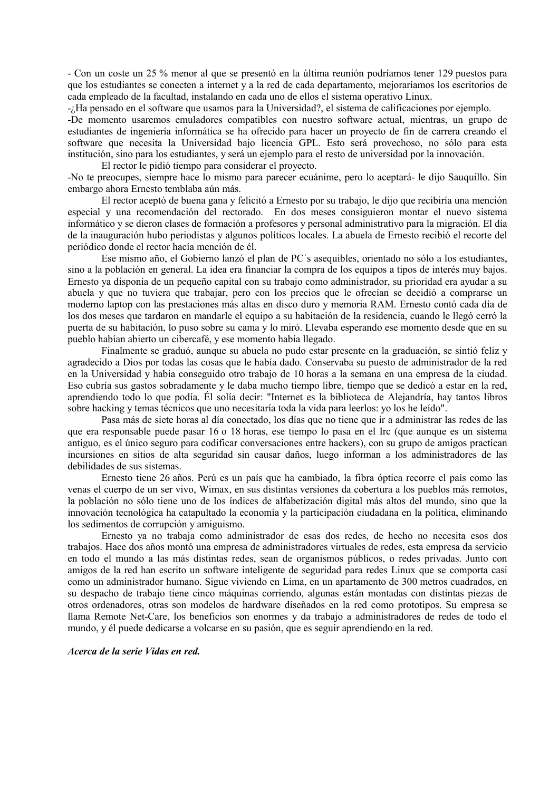- Con un coste un 25 % menor al que se presentó en la última reunión podríamos tener 129 puestos para que los estudiantes se conecten a internet y a la red de cada departamento, mejoraríamos los escritorios de cada empleado de la facultad, instalando en cada uno de ellos el sistema operativo Linux.

-¿Ha pensado en el software que usamos para la Universidad?, el sistema de calificaciones por ejemplo.

-De momento usaremos emuladores compatibles con nuestro software actual, mientras, un grupo de estudiantes de ingeniería informática se ha ofrecido para hacer un provecto de fin de carrera creando el software que necesita la Universidad bajo licencia GPL. Esto será provechoso, no sólo para esta institución, sino para los estudiantes, y será un ejemplo para el resto de universidad por la innovación.

El rector le pidió tiempo para considerar el proyecto.

-No te preocupes, siempre hace lo mismo para parecer ecuánime, pero lo aceptará-le dijo Sauquillo. Sin embargo ahora Ernesto temblaba aún más.

El rector aceptó de buena gana y felicitó a Ernesto por su trabajo, le dijo que recibiría una mención especial y una recomendación del rectorado. En dos meses consiguieron montar el nuevo sistema informático y se dieron clases de formación a profesores y personal administrativo para la migración. El día de la inauguración hubo periodistas y algunos políticos locales. La abuela de Ernesto recibió el recorte del periódico donde el rector hacía mención de él.

Ese mismo año, el Gobierno lanzó el plan de PC's asequibles, orientado no sólo a los estudiantes, sino a la población en general. La idea era financiar la compra de los equipos a tipos de interés muy bajos. Ernesto ya disponía de un pequeño capital con su trabajo como administrador, su prioridad era ayudar a su abuela y que no tuviera que trabajar, pero con los precios que le ofrecían se decidió a comprarse un moderno laptop con las prestaciones más altas en disco duro y memoria RAM. Ernesto contó cada día de los dos meses que tardaron en mandarle el equipo a su habitación de la residencia, cuando le llegó cerró la puerta de su habitación, lo puso sobre su cama y lo miró. Llevaba esperando ese momento desde que en su pueblo habían abierto un cibercafé, y ese momento había llegado.

Finalmente se graduó, aunque su abuela no pudo estar presente en la graduación, se sintió feliz y agradecido a Dios por todas las cosas que le había dado. Conservaba su puesto de administrador de la red en la Universidad y había conseguido otro trabajo de 10 horas a la semana en una empresa de la ciudad. Eso cubría sus gastos sobradamente y le daba mucho tiempo libre, tiempo que se dedicó a estar en la red, aprendiendo todo lo que podía. Él solía decir: "Internet es la biblioteca de Alejandría, hay tantos libros sobre hacking y temas técnicos que uno necesitaría toda la vida para leerlos: yo los he leído".

Pasa más de siete horas al día conectado, los días que no tiene que ir a administrar las redes de las que era responsable puede pasar 16 o 18 horas, ese tiempo lo pasa en el Irc (que aunque es un sistema antiguo, es el único seguro para codificar conversaciones entre hackers), con su grupo de amigos practican incursiones en sitios de alta seguridad sin causar daños, luego informan a los administradores de las debilidades de sus sistemas.

Ernesto tiene 26 años. Perú es un país que ha cambiado, la fibra óptica recorre el país como las venas el cuerpo de un ser vivo, Wimax, en sus distintas versiones da cobertura a los pueblos más remotos, la población no sólo tiene uno de los índices de alfabetización digital más altos del mundo, sino que la innovación tecnológica ha catapultado la economía y la participación ciudadana en la política, eliminando los sedimentos de corrupción y amiguismo.

Ernesto ya no trabaja como administrador de esas dos redes, de hecho no necesita esos dos trabajos. Hace dos años montó una empresa de administradores virtuales de redes, esta empresa da servicio en todo el mundo a las más distintas redes, sean de organismos públicos, o redes privadas. Junto con amigos de la red han escrito un software inteligente de seguridad para redes Linux que se comporta casi como un administrador humano. Sigue viviendo en Lima, en un apartamento de 300 metros cuadrados, en su despacho de trabajo tiene cinco máquinas corriendo, algunas están montadas con distintas piezas de otros ordenadores, otras son modelos de hardware diseñados en la red como prototipos. Su empresa se llama Remote Net-Care, los beneficios son enormes y da trabajo a administradores de redes de todo el mundo, y él puede dedicarse a volcarse en su pasión, que es seguir aprendiendo en la red.

Acerca de la serie Vidas en red.